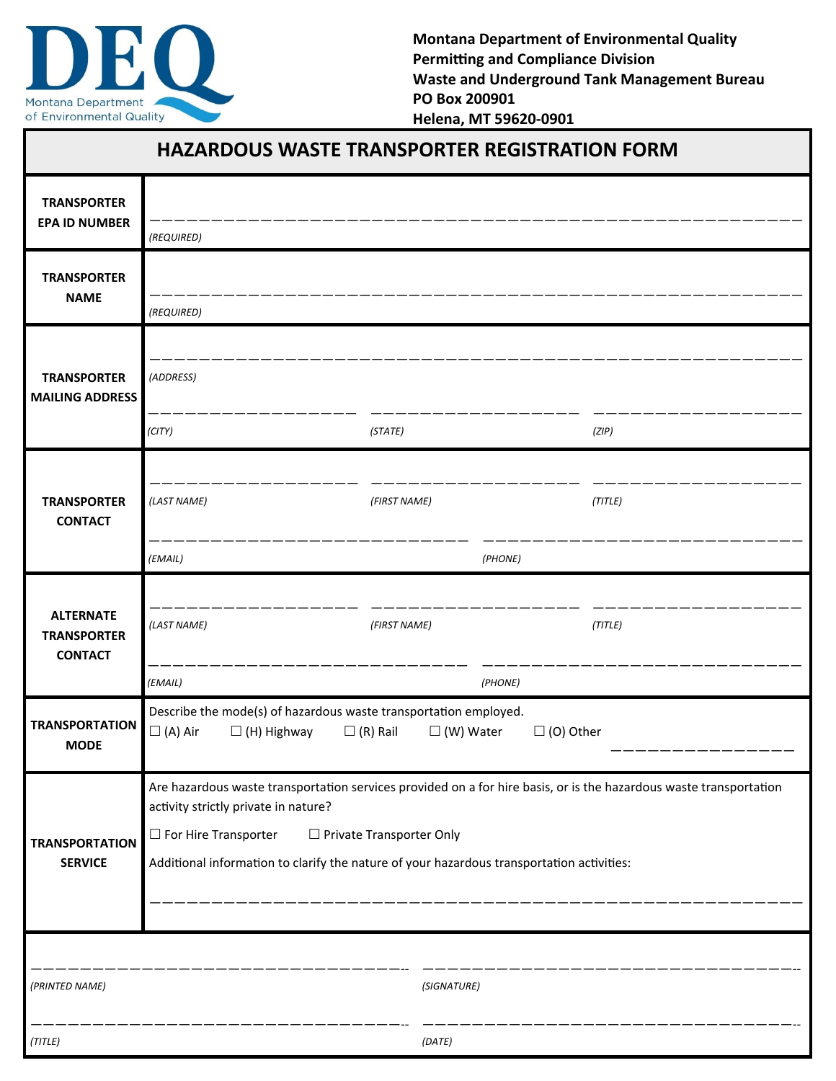

**Montana Department of Environmental Quality Permitting and Compliance Division Waste and Underground Tank Management Bureau PO Box 200901 Helena, MT 59620‐0901** 

| <b>HAZARDOUS WASTE TRANSPORTER REGISTRATION FORM</b>     |                                                                                                                                                                           |              |              |             |         |  |
|----------------------------------------------------------|---------------------------------------------------------------------------------------------------------------------------------------------------------------------------|--------------|--------------|-------------|---------|--|
| <b>TRANSPORTER</b><br><b>EPA ID NUMBER</b>               |                                                                                                                                                                           |              |              |             |         |  |
| <b>TRANSPORTER</b><br><b>NAME</b>                        | (REQUIRED)                                                                                                                                                                |              |              |             |         |  |
|                                                          | (REQUIRED)                                                                                                                                                                |              |              |             |         |  |
| <b>TRANSPORTER</b><br><b>MAILING ADDRESS</b>             | (ADDRESS)                                                                                                                                                                 |              |              |             |         |  |
|                                                          | (CITY)                                                                                                                                                                    |              | (STATE)      |             | (ZIP)   |  |
| <b>TRANSPORTER</b><br><b>CONTACT</b>                     | (LAST NAME)                                                                                                                                                               | (FIRST NAME) |              |             | (TITLE) |  |
|                                                          | (EMAIL)                                                                                                                                                                   | (PHONE)      |              |             |         |  |
| <b>ALTERNATE</b><br><b>TRANSPORTER</b><br><b>CONTACT</b> | (LAST NAME)                                                                                                                                                               |              | (FIRST NAME) |             | (TITLE) |  |
|                                                          | (EMAIL)                                                                                                                                                                   |              |              | (PHONE)     |         |  |
| <b>TRANSPORTATION</b><br><b>MODE</b>                     | Describe the mode(s) of hazardous waste transportation employed.<br>$\Box$ (A) Air<br>$\square$ (R) Rail<br>$\square$ (W) Water<br>$\Box$ (O) Other<br>$\Box$ (H) Highway |              |              |             |         |  |
| <b>TRANSPORTATION</b><br><b>SERVICE</b>                  | Are hazardous waste transportation services provided on a for hire basis, or is the hazardous waste transportation<br>activity strictly private in nature?                |              |              |             |         |  |
|                                                          | $\Box$ For Hire Transporter<br>□ Private Transporter Only<br>Additional information to clarify the nature of your hazardous transportation activities:                    |              |              |             |         |  |
|                                                          |                                                                                                                                                                           |              |              |             |         |  |
| (PRINTED NAME)                                           |                                                                                                                                                                           |              |              | (SIGNATURE) |         |  |
| (TITLE)                                                  |                                                                                                                                                                           |              | (DATE)       |             |         |  |